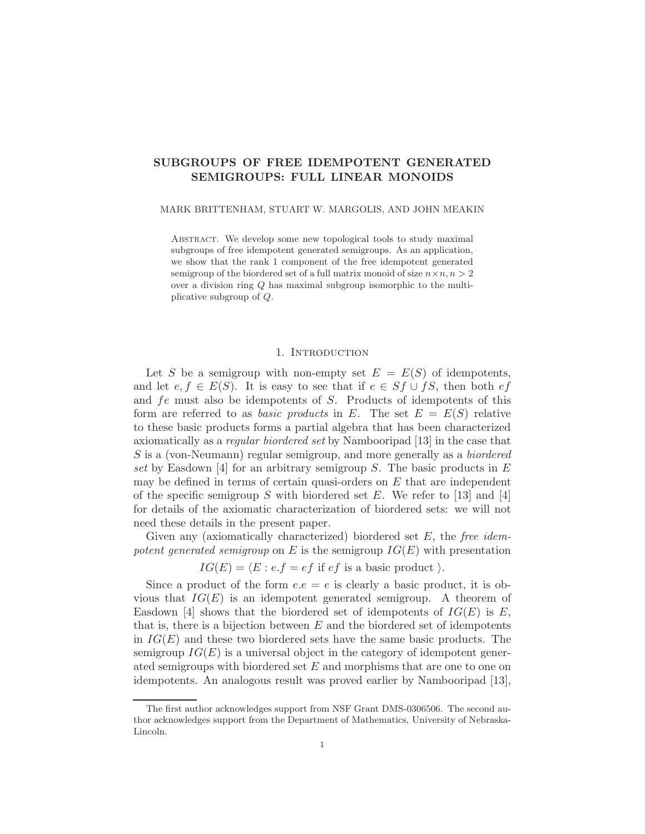# SUBGROUPS OF FREE IDEMPOTENT GENERATED SEMIGROUPS: FULL LINEAR MONOIDS

## MARK BRITTENHAM, STUART W. MARGOLIS, AND JOHN MEAKIN

Abstract. We develop some new topological tools to study maximal subgroups of free idempotent generated semigroups. As an application, we show that the rank 1 component of the free idempotent generated semigroup of the biordered set of a full matrix monoid of size  $n \times n, n > 2$ over a division ring Q has maximal subgroup isomorphic to the multiplicative subgroup of Q.

## 1. INTRODUCTION

Let S be a semigroup with non-empty set  $E = E(S)$  of idempotents, and let  $e, f \in E(S)$ . It is easy to see that if  $e \in Sf \cup fS$ , then both  $ef$ and fe must also be idempotents of S. Products of idempotents of this form are referred to as *basic products* in E. The set  $E = E(S)$  relative to these basic products forms a partial algebra that has been characterized axiomatically as a regular biordered set by Nambooripad [13] in the case that S is a (von-Neumann) regular semigroup, and more generally as a biordered set by Easdown [4] for an arbitrary semigroup  $S$ . The basic products in  $E$ may be defined in terms of certain quasi-orders on  $E$  that are independent of the specific semigroup S with biordered set E. We refer to [13] and [4] for details of the axiomatic characterization of biordered sets: we will not need these details in the present paper.

Given any (axiomatically characterized) biordered set  $E$ , the free idempotent generated semigroup on E is the semigroup  $IG(E)$  with presentation

 $IG(E) = \langle E : e.f = ef \text{ if } ef \text{ is a basic product } \rangle.$ 

Since a product of the form  $e.e = e$  is clearly a basic product, it is obvious that  $IG(E)$  is an idempotent generated semigroup. A theorem of Easdown [4] shows that the biordered set of idempotents of  $IG(E)$  is E, that is, there is a bijection between  $E$  and the biordered set of idempotents in  $IG(E)$  and these two biordered sets have the same basic products. The semigroup  $IG(E)$  is a universal object in the category of idempotent generated semigroups with biordered set E and morphisms that are one to one on idempotents. An analogous result was proved earlier by Nambooripad [13],

The first author acknowledges support from NSF Grant DMS-0306506. The second author acknowledges support from the Department of Mathematics, University of Nebraska-Lincoln.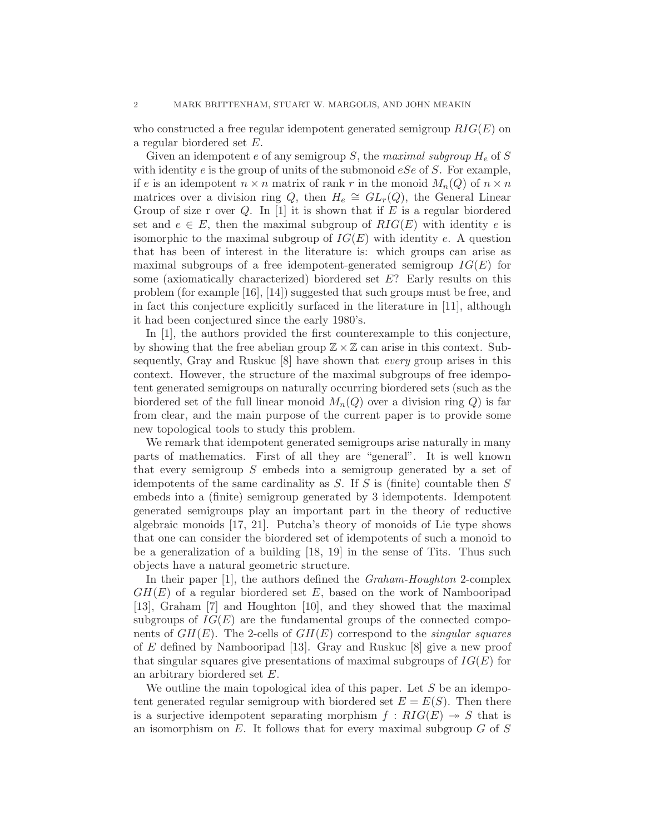who constructed a free regular idempotent generated semigroup  $RIG(E)$  on a regular biordered set E.

Given an idempotent e of any semigroup  $S$ , the maximal subgroup  $H_e$  of  $S$ with identity e is the group of units of the submonoid  $eSe$  of S. For example, if e is an idempotent  $n \times n$  matrix of rank r in the monoid  $M_n(Q)$  of  $n \times n$ matrices over a division ring Q, then  $H_e \cong GL_r(Q)$ , the General Linear Group of size r over  $Q$ . In [1] it is shown that if  $E$  is a regular biordered set and  $e \in E$ , then the maximal subgroup of  $RIG(E)$  with identity e is isomorphic to the maximal subgroup of  $IG(E)$  with identity e. A question that has been of interest in the literature is: which groups can arise as maximal subgroups of a free idempotent-generated semigroup  $IG(E)$  for some (axiomatically characterized) biordered set E? Early results on this problem (for example [16], [14]) suggested that such groups must be free, and in fact this conjecture explicitly surfaced in the literature in [11], although it had been conjectured since the early 1980's.

In [1], the authors provided the first counterexample to this conjecture, by showing that the free abelian group  $\mathbb{Z} \times \mathbb{Z}$  can arise in this context. Subsequently, Gray and Ruskuc [8] have shown that every group arises in this context. However, the structure of the maximal subgroups of free idempotent generated semigroups on naturally occurring biordered sets (such as the biordered set of the full linear monoid  $M_n(Q)$  over a division ring Q) is far from clear, and the main purpose of the current paper is to provide some new topological tools to study this problem.

We remark that idempotent generated semigroups arise naturally in many parts of mathematics. First of all they are "general". It is well known that every semigroup  $S$  embeds into a semigroup generated by a set of idempotents of the same cardinality as  $S$ . If  $S$  is (finite) countable then  $S$ embeds into a (finite) semigroup generated by 3 idempotents. Idempotent generated semigroups play an important part in the theory of reductive algebraic monoids [17, 21]. Putcha's theory of monoids of Lie type shows that one can consider the biordered set of idempotents of such a monoid to be a generalization of a building [18, 19] in the sense of Tits. Thus such objects have a natural geometric structure.

In their paper [1], the authors defined the *Graham-Houghton* 2-complex  $GH(E)$  of a regular biordered set E, based on the work of Nambooripad [13], Graham [7] and Houghton [10], and they showed that the maximal subgroups of  $IG(E)$  are the fundamental groups of the connected components of  $GH(E)$ . The 2-cells of  $GH(E)$  correspond to the *singular squares* of E defined by Nambooripad [13]. Gray and Ruskuc [8] give a new proof that singular squares give presentations of maximal subgroups of  $IG(E)$  for an arbitrary biordered set E.

We outline the main topological idea of this paper. Let  $S$  be an idempotent generated regular semigroup with biordered set  $E = E(S)$ . Then there is a surjective idempotent separating morphism  $f : RIG(E) \rightarrow S$  that is an isomorphism on  $E$ . It follows that for every maximal subgroup  $G$  of  $S$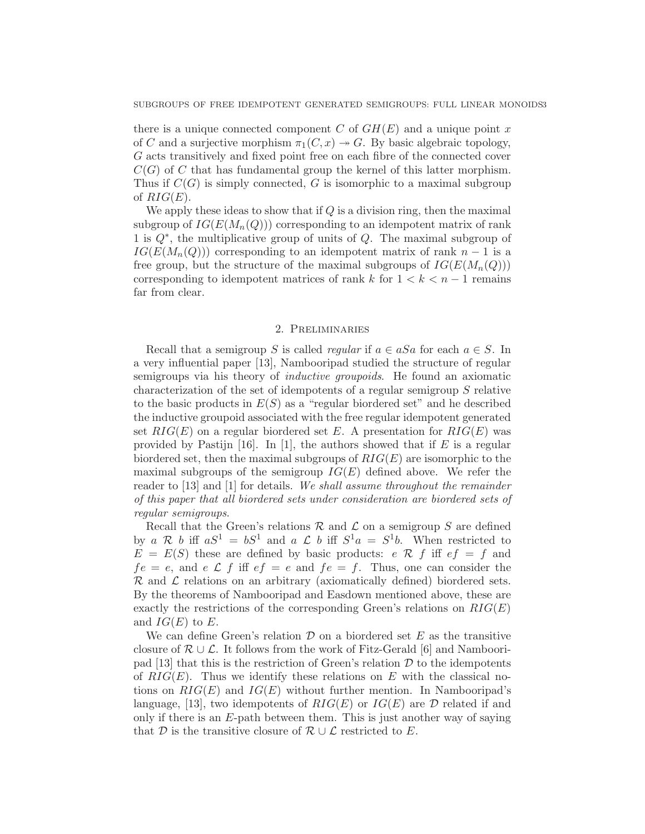there is a unique connected component C of  $GH(E)$  and a unique point x of C and a surjective morphism  $\pi_1(C, x) \rightarrow G$ . By basic algebraic topology, G acts transitively and fixed point free on each fibre of the connected cover  $C(G)$  of C that has fundamental group the kernel of this latter morphism. Thus if  $C(G)$  is simply connected, G is isomorphic to a maximal subgroup of  $RIG(E)$ .

We apply these ideas to show that if  $Q$  is a division ring, then the maximal subgroup of  $IG(E(M_n(Q)))$  corresponding to an idempotent matrix of rank 1 is  $Q^*$ , the multiplicative group of units of Q. The maximal subgroup of  $IG(E(M_n(Q)))$  corresponding to an idempotent matrix of rank  $n-1$  is a free group, but the structure of the maximal subgroups of  $IG(E(M_n(Q)))$ corresponding to idempotent matrices of rank k for  $1 < k < n - 1$  remains far from clear.

## 2. Preliminaries

Recall that a semigroup S is called *regular* if  $a \in aSa$  for each  $a \in S$ . In a very influential paper [13], Nambooripad studied the structure of regular semigroups via his theory of *inductive groupoids*. He found an axiomatic characterization of the set of idempotents of a regular semigroup S relative to the basic products in  $E(S)$  as a "regular biordered set" and he described the inductive groupoid associated with the free regular idempotent generated set  $RIG(E)$  on a regular biordered set E. A presentation for  $RIG(E)$  was provided by Pastijn [16]. In [1], the authors showed that if  $E$  is a regular biordered set, then the maximal subgroups of  $RIG(E)$  are isomorphic to the maximal subgroups of the semigroup  $IG(E)$  defined above. We refer the reader to [13] and [1] for details. We shall assume throughout the remainder of this paper that all biordered sets under consideration are biordered sets of regular semigroups.

Recall that the Green's relations  $R$  and  $\mathcal L$  on a semigroup  $S$  are defined by a R b iff  $aS^1 = bS^1$  and a L b iff  $S^1a = S^1b$ . When restricted to  $E = E(S)$  these are defined by basic products: e R f iff ef = f and  $fe = e$ , and  $e \mathcal{L} f$  iff  $ef = e$  and  $fe = f$ . Thus, one can consider the  $\mathcal R$  and  $\mathcal L$  relations on an arbitrary (axiomatically defined) biordered sets. By the theorems of Nambooripad and Easdown mentioned above, these are exactly the restrictions of the corresponding Green's relations on  $RIG(E)$ and  $IG(E)$  to E.

We can define Green's relation  $\mathcal D$  on a biordered set E as the transitive closure of  $\mathcal{R} \cup \mathcal{L}$ . It follows from the work of Fitz-Gerald [6] and Nambooripad  $[13]$  that this is the restriction of Green's relation  $\mathcal D$  to the idempotents of  $RIG(E)$ . Thus we identify these relations on E with the classical notions on  $RIG(E)$  and  $IG(E)$  without further mention. In Nambooripad's language, [13], two idempotents of  $RIG(E)$  or  $IG(E)$  are  $D$  related if and only if there is an  $E$ -path between them. This is just another way of saying that D is the transitive closure of  $\mathcal{R} \cup \mathcal{L}$  restricted to E.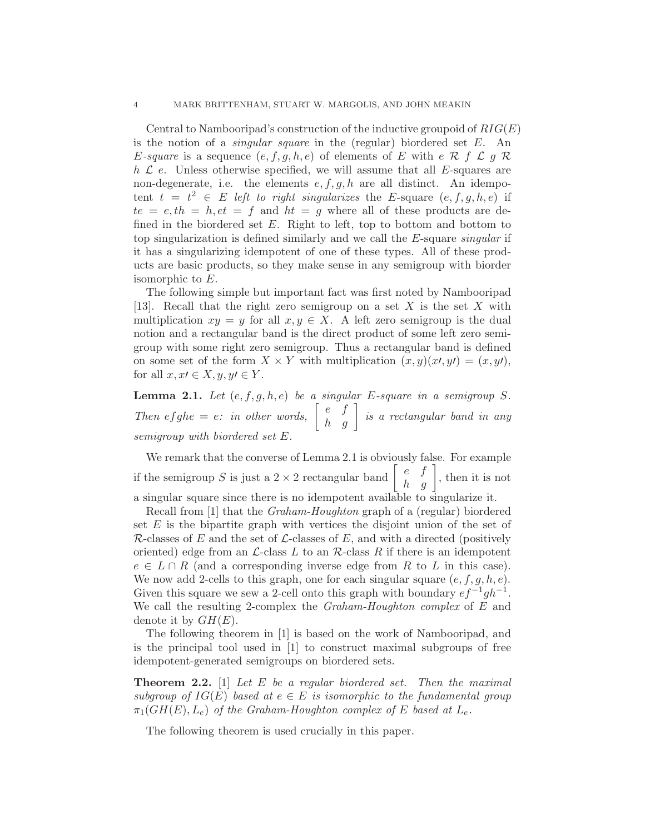Central to Nambooripad's construction of the inductive groupoid of  $RIG(E)$ is the notion of a *singular square* in the (regular) biordered set  $E$ . An E-square is a sequence  $(e, f, g, h, e)$  of elements of E with  $e \mathcal{R} f \mathcal{L} g \mathcal{R}$  $h \mathcal{L} e$ . Unless otherwise specified, we will assume that all E-squares are non-degenerate, i.e. the elements  $e, f, g, h$  are all distinct. An idempotent  $t = t^2 \in E$  left to right singularizes the E-square  $(e, f, g, h, e)$  if  $te = e, th = h, et = f$  and  $ht = g$  where all of these products are defined in the biordered set  $E$ . Right to left, top to bottom and bottom to top singularization is defined similarly and we call the E-square singular if it has a singularizing idempotent of one of these types. All of these products are basic products, so they make sense in any semigroup with biorder isomorphic to E.

The following simple but important fact was first noted by Nambooripad [13]. Recall that the right zero semigroup on a set  $X$  is the set  $X$  with multiplication  $xy = y$  for all  $x, y \in X$ . A left zero semigroup is the dual notion and a rectangular band is the direct product of some left zero semigroup with some right zero semigroup. Thus a rectangular band is defined on some set of the form  $X \times Y$  with multiplication  $(x, y)(x\prime, y\prime) = (x, y\prime),$ for all  $x, x \in X, y, y \in Y$ .

**Lemma 2.1.** Let  $(e, f, g, h, e)$  be a singular E-square in a semigroup S. Then efghe = e: in other words,  $\begin{bmatrix} e & f \\ h & g \end{bmatrix}$  is a rectangular band in any semigroup with biordered set E.

We remark that the converse of Lemma 2.1 is obviously false. For example if the semigroup S is just a  $2 \times 2$  rectangular band  $\begin{bmatrix} e & f \\ h & g \end{bmatrix}$ , then it is not a singular square since there is no idempotent available to singularize it.

Recall from [1] that the Graham-Houghton graph of a (regular) biordered set  $E$  is the bipartite graph with vertices the disjoint union of the set of  $\mathcal R$ -classes of E and the set of  $\mathcal L$ -classes of E, and with a directed (positively oriented) edge from an  $\mathcal{L}\text{-class } L$  to an  $\mathcal{R}\text{-class } R$  if there is an idempotent  $e \in L \cap R$  (and a corresponding inverse edge from R to L in this case). We now add 2-cells to this graph, one for each singular square  $(e, f, g, h, e)$ . Given this square we sew a 2-cell onto this graph with boundary  $ef^{-1}gh^{-1}$ . We call the resulting 2-complex the *Graham-Houghton complex* of E and denote it by  $GH(E)$ .

The following theorem in [1] is based on the work of Nambooripad, and is the principal tool used in [1] to construct maximal subgroups of free idempotent-generated semigroups on biordered sets.

**Theorem 2.2.** [1] Let  $E$  be a regular biordered set. Then the maximal subgroup of  $IG(E)$  based at  $e \in E$  is isomorphic to the fundamental group  $\pi_1(GH(E), L_e)$  of the Graham-Houghton complex of E based at  $L_e$ .

The following theorem is used crucially in this paper.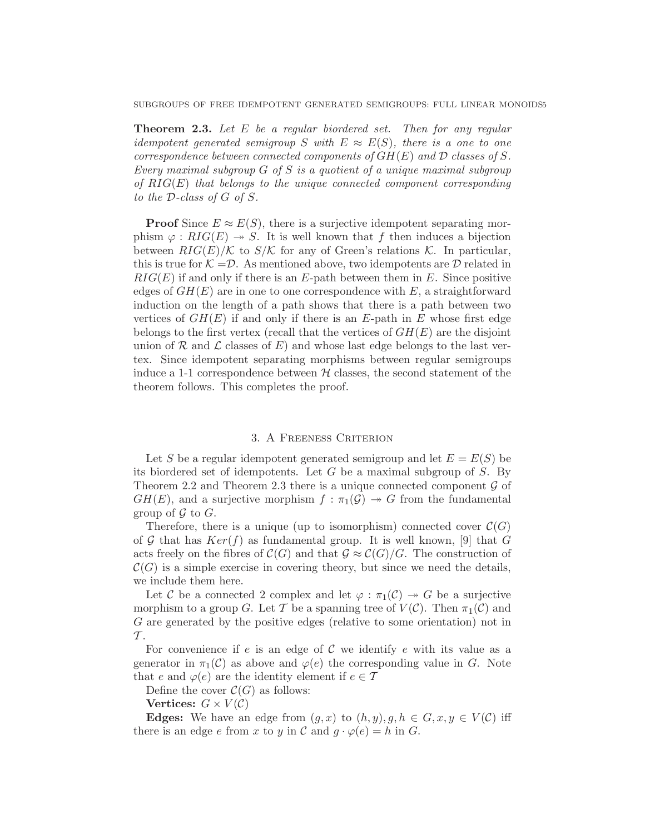**Theorem 2.3.** Let E be a regular biordered set. Then for any regular idempotent generated semigroup S with  $E \approx E(S)$ , there is a one to one correspondence between connected components of  $GH(E)$  and  $D$  classes of S. Every maximal subgroup  $G$  of  $S$  is a quotient of a unique maximal subgroup of  $RIG(E)$  that belongs to the unique connected component corresponding to the D-class of G of S.

**Proof** Since  $E \approx E(S)$ , there is a surjective idempotent separating morphism  $\varphi : RIG(E) \rightarrow S$ . It is well known that f then induces a bijection between  $RIG(E)/K$  to  $S/K$  for any of Green's relations K. In particular, this is true for  $K = \mathcal{D}$ . As mentioned above, two idempotents are  $\mathcal D$  related in  $RIG(E)$  if and only if there is an E-path between them in E. Since positive edges of  $GH(E)$  are in one to one correspondence with E, a straightforward induction on the length of a path shows that there is a path between two vertices of  $GH(E)$  if and only if there is an E-path in E whose first edge belongs to the first vertex (recall that the vertices of  $GH(E)$ ) are the disjoint union of  $R$  and  $\mathcal L$  classes of  $E$ ) and whose last edge belongs to the last vertex. Since idempotent separating morphisms between regular semigroups induce a 1-1 correspondence between  $H$  classes, the second statement of the theorem follows. This completes the proof.

### 3. A Freeness Criterion

Let S be a regular idempotent generated semigroup and let  $E = E(S)$  be its biordered set of idempotents. Let  $G$  be a maximal subgroup of  $S$ . By Theorem 2.2 and Theorem 2.3 there is a unique connected component  $\mathcal G$  of  $GH(E)$ , and a surjective morphism  $f : \pi_1(G) \rightarrow G$  from the fundamental group of  $\mathcal G$  to  $G$ .

Therefore, there is a unique (up to isomorphism) connected cover  $\mathcal{C}(G)$ of G that has  $Ker(f)$  as fundamental group. It is well known, [9] that G acts freely on the fibres of  $\mathcal{C}(G)$  and that  $\mathcal{G} \approx \mathcal{C}(G)/G$ . The construction of  $\mathcal{C}(G)$  is a simple exercise in covering theory, but since we need the details, we include them here.

Let C be a connected 2 complex and let  $\varphi : \pi_1(\mathcal{C}) \to G$  be a surjective morphism to a group G. Let T be a spanning tree of  $V(C)$ . Then  $\pi_1(C)$  and G are generated by the positive edges (relative to some orientation) not in  $\mathcal{T}$ .

For convenience if  $e$  is an edge of  $C$  we identify  $e$  with its value as a generator in  $\pi_1(\mathcal{C})$  as above and  $\varphi(e)$  the corresponding value in G. Note that e and  $\varphi(e)$  are the identity element if  $e \in \mathcal{T}$ 

Define the cover  $\mathcal{C}(G)$  as follows:

Vertices:  $G \times V(C)$ 

**Edges:** We have an edge from  $(g, x)$  to  $(h, y), g, h \in G, x, y \in V(\mathcal{C})$  iff there is an edge e from x to y in C and  $g \cdot \varphi(e) = h$  in G.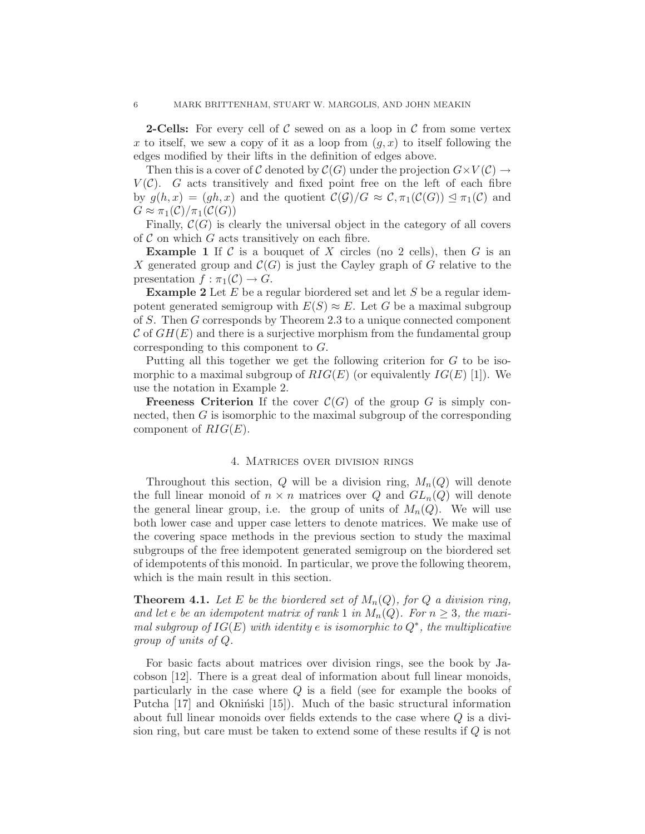**2-Cells:** For every cell of C sewed on as a loop in C from some vertex x to itself, we sew a copy of it as a loop from  $(q, x)$  to itself following the edges modified by their lifts in the definition of edges above.

Then this is a cover of C denoted by  $\mathcal{C}(G)$  under the projection  $G \times V(\mathcal{C}) \to$  $V(\mathcal{C})$ . G acts transitively and fixed point free on the left of each fibre by  $g(h,x) = (gh, x)$  and the quotient  $\mathcal{C}(\mathcal{G})/G \approx \mathcal{C}, \pi_1(\mathcal{C}(G)) \leq \pi_1(\mathcal{C})$  and  $G \approx \pi_1(\mathcal{C})/\pi_1(\mathcal{C}(G))$ 

Finally,  $\mathcal{C}(G)$  is clearly the universal object in the category of all covers of  $\mathcal C$  on which  $G$  acts transitively on each fibre.

**Example 1** If C is a bouquet of X circles (no 2 cells), then G is an X generated group and  $\mathcal{C}(G)$  is just the Cayley graph of G relative to the presentation  $f : \pi_1(\mathcal{C}) \to G$ .

**Example 2** Let  $E$  be a regular biordered set and let  $S$  be a regular idempotent generated semigroup with  $E(S) \approx E$ . Let G be a maximal subgroup of S. Then G corresponds by Theorem 2.3 to a unique connected component  $\mathcal C$  of  $GH(E)$  and there is a surjective morphism from the fundamental group corresponding to this component to G.

Putting all this together we get the following criterion for G to be isomorphic to a maximal subgroup of  $RIG(E)$  (or equivalently  $IG(E)$  [1]). We use the notation in Example 2.

**Freeness Criterion** If the cover  $C(G)$  of the group G is simply connected, then G is isomorphic to the maximal subgroup of the corresponding component of  $RIG(E)$ .

#### 4. Matrices over division rings

Throughout this section, Q will be a division ring,  $M_n(Q)$  will denote the full linear monoid of  $n \times n$  matrices over Q and  $GL_n(Q)$  will denote the general linear group, i.e. the group of units of  $M_n(Q)$ . We will use both lower case and upper case letters to denote matrices. We make use of the covering space methods in the previous section to study the maximal subgroups of the free idempotent generated semigroup on the biordered set of idempotents of this monoid. In particular, we prove the following theorem, which is the main result in this section.

**Theorem 4.1.** Let E be the biordered set of  $M_n(Q)$ , for Q a division ring, and let e be an idempotent matrix of rank 1 in  $M_n(Q)$ . For  $n \geq 3$ , the maximal subgroup of  $IG(E)$  with identity e is isomorphic to  $Q^*$ , the multiplicative group of units of Q.

For basic facts about matrices over division rings, see the book by Jacobson [12]. There is a great deal of information about full linear monoids, particularly in the case where Q is a field (see for example the books of Putcha  $[17]$  and Okniński  $[15]$ . Much of the basic structural information about full linear monoids over fields extends to the case where  $Q$  is a division ring, but care must be taken to extend some of these results if Q is not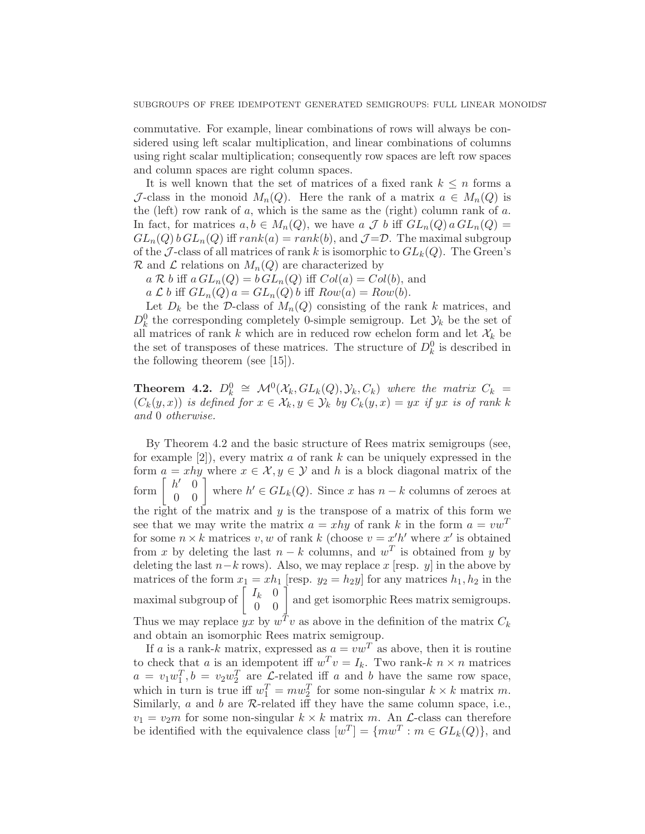commutative. For example, linear combinations of rows will always be considered using left scalar multiplication, and linear combinations of columns using right scalar multiplication; consequently row spaces are left row spaces and column spaces are right column spaces.

It is well known that the set of matrices of a fixed rank  $k \leq n$  forms a J-class in the monoid  $M_n(Q)$ . Here the rank of a matrix  $a \in M_n(Q)$  is the (left) row rank of  $a$ , which is the same as the (right) column rank of  $a$ . In fact, for matrices  $a, b \in M_n(Q)$ , we have  $a \mathcal{J} b$  iff  $GL_n(Q) a GL_n(Q) =$  $GL_n(Q)$  b  $GL_n(Q)$  iff  $rank(a) = rank(b)$ , and  $\mathcal{J} = \mathcal{D}$ . The maximal subgroup of the J-class of all matrices of rank k is isomorphic to  $GL_k(Q)$ . The Green's  $\mathcal R$  and  $\mathcal L$  relations on  $M_n(Q)$  are characterized by

 $a \mathcal{R} b$  iff  $a GL_n(Q) = b GL_n(Q)$  iff  $Col(a) = Col(b)$ , and

 $a \mathcal{L} b$  iff  $GL_n(Q)$   $a = GL_n(Q)$  b iff  $Row(a) = Row(b)$ .

Let  $D_k$  be the D-class of  $M_n(Q)$  consisting of the rank k matrices, and  $D_k^0$  the corresponding completely 0-simple semigroup. Let  $\mathcal{Y}_k$  be the set of all matrices of rank k which are in reduced row echelon form and let  $\mathcal{X}_k$  be the set of transposes of these matrices. The structure of  $D_k^0$  is described in the following theorem (see [15]).

**Theorem 4.2.**  $D_k^0 \cong \mathcal{M}^0(\mathcal{X}_k, GL_k(Q), \mathcal{Y}_k, C_k)$  where the matrix  $C_k =$  $(C_k(y, x))$  is defined for  $x \in \mathcal{X}_k, y \in \mathcal{Y}_k$  by  $C_k(y, x) = yx$  if yx is of rank k and 0 otherwise.

By Theorem 4.2 and the basic structure of Rees matrix semigroups (see, for example  $[2]$ , every matrix a of rank k can be uniquely expressed in the form  $a = xhy$  where  $x \in \mathcal{X}, y \in \mathcal{Y}$  and h is a block diagonal matrix of the form  $\begin{bmatrix} h' & 0 \\ 0 & 0 \end{bmatrix}$  where  $h' \in GL_k(Q)$ . Since x has  $n - k$  columns of zeroes at the right of the matrix and  $y$  is the transpose of a matrix of this form we see that we may write the matrix  $a = xhy$  of rank k in the form  $a = vw^T$ for some  $n \times k$  matrices v, w of rank k (choose  $v = x'h'$  where x' is obtained from x by deleting the last  $n - k$  columns, and  $w<sup>T</sup>$  is obtained from y by deleting the last  $n-k$  rows). Also, we may replace x [resp. y] in the above by matrices of the form  $x_1 = xh_1$  [resp.  $y_2 = h_2y$ ] for any matrices  $h_1, h_2$  in the maximal subgroup of  $\begin{bmatrix} I_k & 0 \\ 0 & 0 \end{bmatrix}$  and get isomorphic Rees matrix semigroups. Thus we may replace  $yx$  by  $w^T v$  as above in the definition of the matrix  $C_k$ and obtain an isomorphic Rees matrix semigroup.

If a is a rank-k matrix, expressed as  $a = vw^T$  as above, then it is routine to check that a is an idempotent iff  $w^T v = I_k$ . Two rank-k  $n \times n$  matrices  $a = v_1 w_1^T$ ,  $b = v_2 w_2^T$  are  $\mathcal{L}$ -related iff a and b have the same row space, which in turn is true iff  $w_1^T = m w_2^T$  for some non-singular  $k \times k$  matrix m. Similarly,  $a$  and  $b$  are  $R$ -related iff they have the same column space, i.e.,  $v_1 = v_2m$  for some non-singular  $k \times k$  matrix m. An  $\mathcal{L}$ -class can therefore be identified with the equivalence class  $[w^T] = \{mw^T : m \in GL_k(Q)\}\$ , and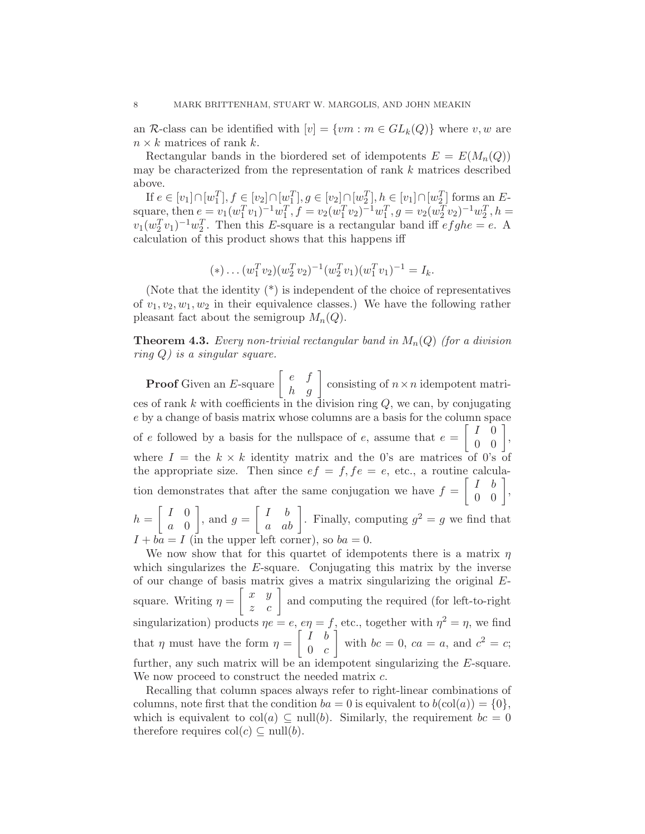an R-class can be identified with  $[v] = \{vm : m \in GL_k(Q)\}\$  where v, w are  $n \times k$  matrices of rank k.

Rectangular bands in the biordered set of idempotents  $E = E(M_n(Q))$ may be characterized from the representation of rank  $k$  matrices described above.

If  $e \in [v_1] \cap [w_1^T], f \in [v_2] \cap [w_1^T], g \in [v_2] \cap [w_2^T], h \in [v_1] \cap [w_2^T]$  forms an Esquare, then  $e = v_1(w_1^T v_1)^{-1} w_1^T$ ,  $f = v_2(w_1^T v_2)^{-1} w_1^T$ ,  $g = v_2(w_2^T v_2)^{-1} w_2^T$ ,  $h =$  $v_1(w_2^Tv_1)^{-1}w_2^T$ . Then this E-square is a rectangular band iff  $efghe = e$ . A calculation of this product shows that this happens iff

$$
(*)... (w_1^T v_2)(w_2^T v_2)^{-1} (w_2^T v_1)(w_1^T v_1)^{-1} = I_k.
$$

(Note that the identity (\*) is independent of the choice of representatives of  $v_1, v_2, w_1, w_2$  in their equivalence classes.) We have the following rather pleasant fact about the semigroup  $M_n(Q)$ .

**Theorem 4.3.** Every non-trivial rectangular band in  $M_n(Q)$  (for a division ring  $Q$ ) is a singular square.

**Proof** Given an E-square  $\begin{bmatrix} e & f \\ h & g \end{bmatrix}$  consisting of  $n \times n$  idempotent matrices of rank  $k$  with coefficients in the division ring  $Q$ , we can, by conjugating e by a change of basis matrix whose columns are a basis for the column space of e followed by a basis for the nullspace of  $e$ , assume that  $e =$  $\left[\begin{array}{cc} I & 0 \\ 0 & 0 \end{array}\right],$ where  $I =$  the  $k \times k$  identity matrix and the 0's are matrices of 0's of the appropriate size. Then since  $ef = f$ ,  $fe = e$ , etc., a routine calculation demonstrates that after the same conjugation we have  $f =$  $\left[\begin{array}{cc} I & b \\ 0 & 0 \end{array}\right],$  $h =$  $\begin{bmatrix} I & 0 \end{bmatrix}$ a 0 1 , and  $g =$  $\begin{bmatrix} I & b \\ a & ab \end{bmatrix}$ . Finally, computing  $g^2 = g$  we find that  $I + ba = I$  (in the upper left corner), so  $ba = 0$ .

We now show that for this quartet of idempotents there is a matrix  $\eta$ which singularizes the  $E$ -square. Conjugating this matrix by the inverse of our change of basis matrix gives a matrix singularizing the original Esquare. Writing  $\eta =$  $\begin{bmatrix} x & y \\ z & c \end{bmatrix}$  and computing the required (for left-to-right singularization) products  $\eta e = e$ ,  $e\eta = f$ , etc., together with  $\eta^2 = \eta$ , we find that  $\eta$  must have the form  $\eta =$  $\begin{bmatrix} I & b \end{bmatrix}$  $0 \quad c$ Ť with  $bc = 0$ ,  $ca = a$ , and  $c^2 = c$ ; further, any such matrix will be an idempotent singularizing the E-square. We now proceed to construct the needed matrix  $c$ .

Recalling that column spaces always refer to right-linear combinations of columns, note first that the condition  $ba = 0$  is equivalent to  $b(\text{col}(a)) = \{0\},\$ which is equivalent to  $col(a) \subseteq null(b)$ . Similarly, the requirement  $bc = 0$ therefore requires  $col(c) \subseteq null(b)$ .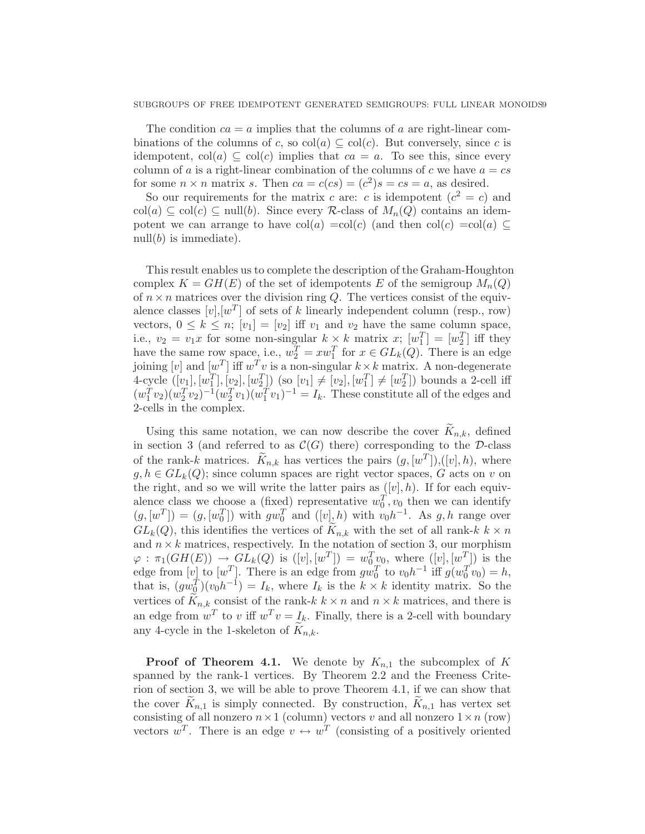#### SUBGROUPS OF FREE IDEMPOTENT GENERATED SEMIGROUPS: FULL LINEAR MONOIDS9

The condition  $ca = a$  implies that the columns of a are right-linear combinations of the columns of c, so  $col(a) \subseteq col(c)$ . But conversely, since c is idempotent,  $col(a) \subseteq col(c)$  implies that  $ca = a$ . To see this, since every column of a is a right-linear combination of the columns of c we have  $a = cs$ for some  $n \times n$  matrix s. Then  $ca = c(cs) = (c^2)s = cs = a$ , as desired.

So our requirements for the matrix c are: c is idempotent  $(c^2 = c)$  and col(a)  $\subseteq$  col(c)  $\subseteq$  null(b). Since every R-class of  $M_n(Q)$  contains an idempotent we can arrange to have col(a) =col(c) (and then col(c) =col(a)  $\subseteq$ null $(b)$  is immediate).

This result enables us to complete the description of the Graham-Houghton complex  $K = GH(E)$  of the set of idempotents E of the semigroup  $M_n(Q)$ of  $n \times n$  matrices over the division ring Q. The vertices consist of the equivalence classes  $[v], [w^T]$  of sets of k linearly independent column (resp., row) vectors,  $0 \leq k \leq n$ ;  $[v_1] = [v_2]$  iff  $v_1$  and  $v_2$  have the same column space, i.e.,  $v_2 = v_1 x$  for some non-singular  $k \times k$  matrix  $x$ ;  $[w_1^T] = [w_2^T]$  iff they have the same row space, i.e.,  $w_2^T = x w_1^T$  for  $x \in GL_k(Q)$ . There is an edge joining  $[v]$  and  $[w^T]$  iff  $w^T v$  is a non-singular  $k \times k$  matrix. A non-degenerate 4-cycle  $([v_1], [w_1^T], [v_2], [w_2^T])$  (so  $[v_1] \neq [v_2], [w_1^T] \neq [w_2^T])$  bounds a 2-cell iff  $(w_1^T v_2)(w_2^T v_2)^{-1}(w_2^T v_1)(w_1^T v_1)^{-1} = I_k$ . These constitute all of the edges and 2-cells in the complex.

Using this same notation, we can now describe the cover  $K_{n,k}$ , defined in section 3 (and referred to as  $\mathcal{C}(G)$  there) corresponding to the D-class of the rank-k matrices.  $\tilde{K}_{n,k}$  has vertices the pairs  $(g, [w^T]), ([v], h)$ , where  $g, h \in GL_k(Q)$ ; since column spaces are right vector spaces, G acts on v on the right, and so we will write the latter pairs as  $([v], h)$ . If for each equivalence class we choose a (fixed) representative  $w_0^T, v_0$  then we can identify  $(g, [w^T]) = (g, [w_0^T])$  with  $gw_0^T$  and  $([v], h)$  with  $v_0h^{-1}$ . As  $g, h$  range over  $GL_k(Q)$ , this identifies the vertices of  $K_{n,k}$  with the set of all rank-k  $k \times n$ and  $n \times k$  matrices, respectively. In the notation of section 3, our morphism  $\varphi : \pi_1(GH(E)) \to GL_k(Q)$  is  $([v], [w^T]) = w_0^T w_0$ , where  $([v], [w^T])$  is the edge from  $[v]$  to  $[w^T]$ . There is an edge from  $gw_0^T$  to  $v_0h^{-1}$  iff  $g(w_0^T v_0) = h$ , that is,  $(gw_Q^{\dot{T}})(v_0h^{-1})=I_k$ , where  $I_k$  is the  $k \times k$  identity matrix. So the vertices of  $K_{n,k}$  consist of the rank-k  $k \times n$  and  $n \times k$  matrices, and there is an edge from  $w^T$  to v iff  $w^T v = I_k$ . Finally, there is a 2-cell with boundary any 4-cycle in the 1-skeleton of  $K_{n,k}$ .

**Proof of Theorem 4.1.** We denote by  $K_{n,1}$  the subcomplex of K spanned by the rank-1 vertices. By Theorem 2.2 and the Freeness Criterion of section 3, we will be able to prove Theorem 4.1, if we can show that the cover  $\overline{K}_{n,1}$  is simply connected. By construction,  $\overline{K}_{n,1}$  has vertex set consisting of all nonzero  $n \times 1$  (column) vectors v and all nonzero  $1 \times n$  (row) vectors  $w^T$ . There is an edge  $v \leftrightarrow w^T$  (consisting of a positively oriented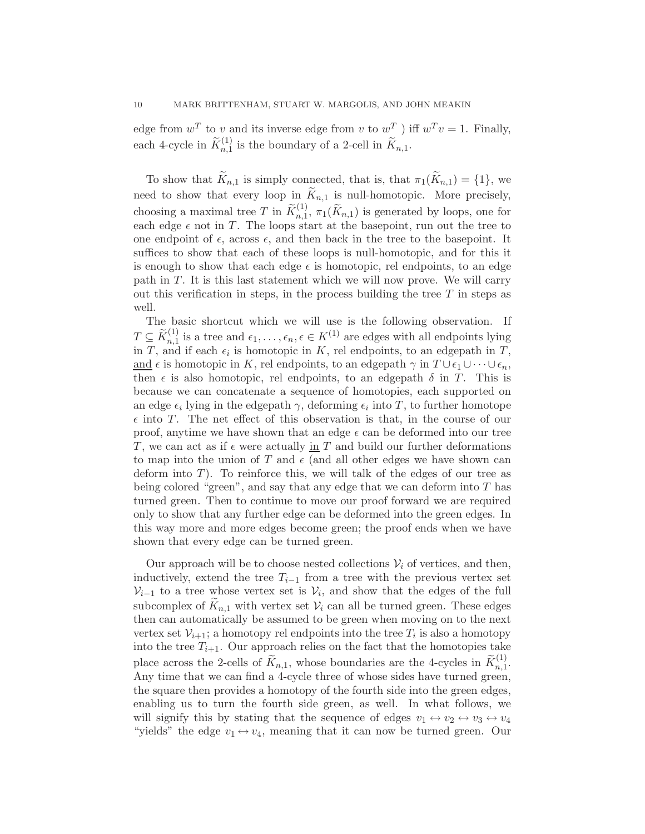edge from  $w^T$  to v and its inverse edge from v to  $w^T$  ) iff  $w^T v = 1$ . Finally, each 4-cycle in  $\widetilde{K}_{n,1}^{(1)}$  is the boundary of a 2-cell in  $\widetilde{K}_{n,1}$ .

To show that  $K_{n,1}$  is simply connected, that is, that  $\pi_1(K_{n,1}) = \{1\}$ , we need to show that every loop in  $\widetilde{K}_{n,1}$  is null-homotopic. More precisely, choosing a maximal tree T in  $\widetilde{K}_{n,1}^{(1)}$ ,  $\pi_1(\widetilde{K}_{n,1})$  is generated by loops, one for each edge  $\epsilon$  not in T. The loops start at the basepoint, run out the tree to one endpoint of  $\epsilon$ , across  $\epsilon$ , and then back in the tree to the basepoint. It suffices to show that each of these loops is null-homotopic, and for this it is enough to show that each edge  $\epsilon$  is homotopic, rel endpoints, to an edge path in T. It is this last statement which we will now prove. We will carry out this verification in steps, in the process building the tree  $T$  in steps as well.

The basic shortcut which we will use is the following observation. If  $T \subseteq \widetilde{K}_{n,1}^{(1)}$  is a tree and  $\epsilon_1, \ldots, \epsilon_n, \epsilon \in K^{(1)}$  are edges with all endpoints lying in T, and if each  $\epsilon_i$  is homotopic in K, rel endpoints, to an edgepath in T, and  $\epsilon$  is homotopic in K, rel endpoints, to an edgepath  $\gamma$  in  $T \cup \epsilon_1 \cup \cdots \cup \epsilon_n$ , then  $\epsilon$  is also homotopic, rel endpoints, to an edgepath  $\delta$  in T. This is because we can concatenate a sequence of homotopies, each supported on an edge  $\epsilon_i$  lying in the edgepath  $\gamma$ , deforming  $\epsilon_i$  into T, to further homotope  $\epsilon$  into T. The net effect of this observation is that, in the course of our proof, anytime we have shown that an edge  $\epsilon$  can be deformed into our tree T, we can act as if  $\epsilon$  were actually in T and build our further deformations to map into the union of T and  $\epsilon$  (and all other edges we have shown can deform into  $T$ ). To reinforce this, we will talk of the edges of our tree as being colored "green", and say that any edge that we can deform into  $T$  has turned green. Then to continue to move our proof forward we are required only to show that any further edge can be deformed into the green edges. In this way more and more edges become green; the proof ends when we have shown that every edge can be turned green.

Our approach will be to choose nested collections  $V_i$  of vertices, and then, inductively, extend the tree  $T_{i-1}$  from a tree with the previous vertex set  $\mathcal{V}_{i-1}$  to a tree whose vertex set is  $\mathcal{V}_i$ , and show that the edges of the full subcomplex of  $K_{n,1}$  with vertex set  $V_i$  can all be turned green. These edges then can automatically be assumed to be green when moving on to the next vertex set  $\mathcal{V}_{i+1}$ ; a homotopy rel endpoints into the tree  $T_i$  is also a homotopy into the tree  $T_{i+1}$ . Our approach relies on the fact that the homotopies take place across the 2-cells of  $\widetilde{K}_{n,1}$ , whose boundaries are the 4-cycles in  $\widetilde{K}_{n,1}^{(1)}$ . Any time that we can find a 4-cycle three of whose sides have turned green, the square then provides a homotopy of the fourth side into the green edges, enabling us to turn the fourth side green, as well. In what follows, we will signify this by stating that the sequence of edges  $v_1 \leftrightarrow v_2 \leftrightarrow v_3 \leftrightarrow v_4$ "yields" the edge  $v_1 \leftrightarrow v_4$ , meaning that it can now be turned green. Our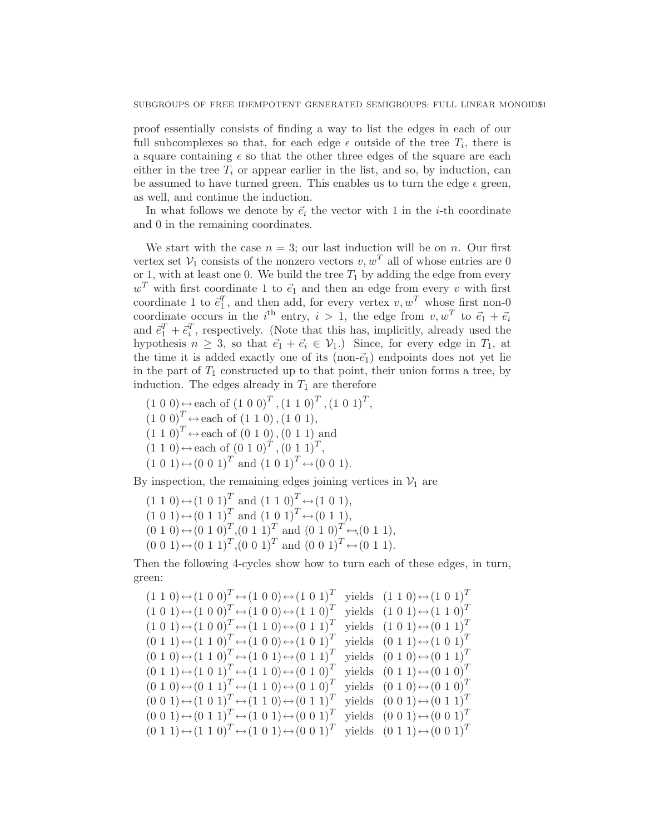proof essentially consists of finding a way to list the edges in each of our full subcomplexes so that, for each edge  $\epsilon$  outside of the tree  $T_i$ , there is a square containing  $\epsilon$  so that the other three edges of the square are each either in the tree  $T_i$  or appear earlier in the list, and so, by induction, can be assumed to have turned green. This enables us to turn the edge  $\epsilon$  green, as well, and continue the induction.

In what follows we denote by  $\vec{e}_i$  the vector with 1 in the *i*-th coordinate and 0 in the remaining coordinates.

We start with the case  $n = 3$ ; our last induction will be on n. Our first vertex set  $\mathcal{V}_1$  consists of the nonzero vectors  $v, w^T$  all of whose entries are 0 or 1, with at least one 0. We build the tree  $T_1$  by adding the edge from every  $w<sup>T</sup>$  with first coordinate 1 to  $\vec{e}_1$  and then an edge from every v with first coordinate 1 to  $\vec{e}_1^T$ , and then add, for every vertex  $v, w^T$  whose first non-0 coordinate occurs in the *i*<sup>th</sup> entry,  $i > 1$ , the edge from  $v, w^T$  to  $\vec{e}_1 + \vec{e}_i$ and  $\vec{e}_1^T + \vec{e}_i^T$ , respectively. (Note that this has, implicitly, already used the hypothesis  $n \geq 3$ , so that  $\vec{e}_1 + \vec{e}_i \in V_1$ .) Since, for every edge in  $T_1$ , at the time it is added exactly one of its (non- $\vec{e}_1$ ) endpoints does not yet lie in the part of  $T_1$  constructed up to that point, their union forms a tree, by induction. The edges already in  $T_1$  are therefore

 $(1\ 0\ 0) \leftrightarrow$  each of  $(1\ 0\ 0)^T$ ,  $(1\ 1\ 0)^T$ ,  $(1\ 0\ 1)^T$ ,  $(1\ 0\ 0)^T \leftrightarrow$  each of  $(1\ 1\ 0), (1\ 0\ 1),$  $(1\ 1\ 0)^T \leftrightarrow$  each of  $(0\ 1\ 0)$ ,  $(0\ 1\ 1)$  and  $(1\ 1\ 0) \leftrightarrow$  each of  $(0\ 1\ 0)^T$ ,  $(0\ 1\ 1)^T$ ,  $(1\ 0\ 1) \leftrightarrow (0\ 0\ 1)^T$  and  $(1\ 0\ 1)^T \leftrightarrow (0\ 0\ 1)$ .

By inspection, the remaining edges joining vertices in  $V_1$  are

 $(1\ 1\ 0) \leftrightarrow (1\ 0\ 1)^T$  and  $(1\ 1\ 0)^T \leftrightarrow (1\ 0\ 1),$  $(1\ 0\ 1) \leftrightarrow (0\ 1\ 1)^T$  and  $(1\ 0\ 1)^T \leftrightarrow (0\ 1\ 1),$  $(0\ 1\ 0) \leftrightarrow (0\ 1\ 0)^T, (0\ 1\ 1)^T$  and  $(0\ 1\ 0)^T \leftrightarrow (0\ 1\ 1),$  $(0\ 0\ 1) \leftrightarrow (0\ 1\ 1)^T, (0\ 0\ 1)^T$  and  $(0\ 0\ 1)^T \leftrightarrow (0\ 1\ 1).$ 

Then the following 4-cycles show how to turn each of these edges, in turn, green:

 $(1\ 1\ 0) \leftrightarrow (1\ 0\ 0)^T \leftrightarrow (1\ 0\ 0) \leftrightarrow (1\ 0\ 1)^T$  yields  $(1\ 1\ 0) \leftrightarrow (1\ 0\ 1)^T$  $(1\ 0\ 1) \leftrightarrow (1\ 0\ 0)^T \leftrightarrow (1\ 0\ 0) \leftrightarrow (1\ 1\ 0)^T$  yields  $(1\ 0\ 1) \leftrightarrow (1\ 1\ 0)^T$  $(1\ 0\ 1) \leftrightarrow (1\ 0\ 0)^T \leftrightarrow (1\ 1\ 0) \leftrightarrow (0\ 1\ 1)^T$  yields  $(1\ 0\ 1) \leftrightarrow (0\ 1\ 1)^T$  $(0\ 1\ 1) \leftrightarrow (1\ 1\ 0)^T \leftrightarrow (1\ 0\ 0) \leftrightarrow (1\ 0\ 1)^T$  yields  $(0\ 1\ 1) \leftrightarrow (1\ 0\ 1)^T$  $(0\ 1\ 0) \leftrightarrow (1\ 1\ 0)^T \leftrightarrow (1\ 0\ 1) \leftrightarrow (0\ 1\ 1)^T$  yields  $(0\ 1\ 0) \leftrightarrow (0\ 1\ 1)^T$  $(0\ 1\ 1) \leftrightarrow (1\ 0\ 1)^T \leftrightarrow (1\ 1\ 0) \leftrightarrow (0\ 1\ 0)^T$  yields  $(0\ 1\ 1) \leftrightarrow (0\ 1\ 0)^T$  $(0\ 1\ 0) \leftrightarrow (0\ 1\ 1)^T \leftrightarrow (1\ 1\ 0) \leftrightarrow (0\ 1\ 0)^T$  yields  $(0\ 1\ 0) \leftrightarrow (0\ 1\ 0)^T$  $(0\;0\;1) \leftrightarrow (1\;0\;1)^T \leftrightarrow (1\;1\;0) \leftrightarrow (0\;1\;1)^T$  yields  $(0\;0\;1) \leftrightarrow (0\;1\;1)^T$  $(0\ 0\ 1) \leftrightarrow (0\ 1\ 1)^T \leftrightarrow (1\ 0\ 1) \leftrightarrow (0\ 0\ 1)^T$  yields  $(0\ 0\ 1) \leftrightarrow (0\ 0\ 1)^T$  $(0\ 1\ 1) \leftrightarrow (1\ 1\ 0)^T \leftrightarrow (1\ 0\ 1) \leftrightarrow (0\ 0\ 1)^T$  yields  $(0\ 1\ 1) \leftrightarrow (0\ 0\ 1)^T$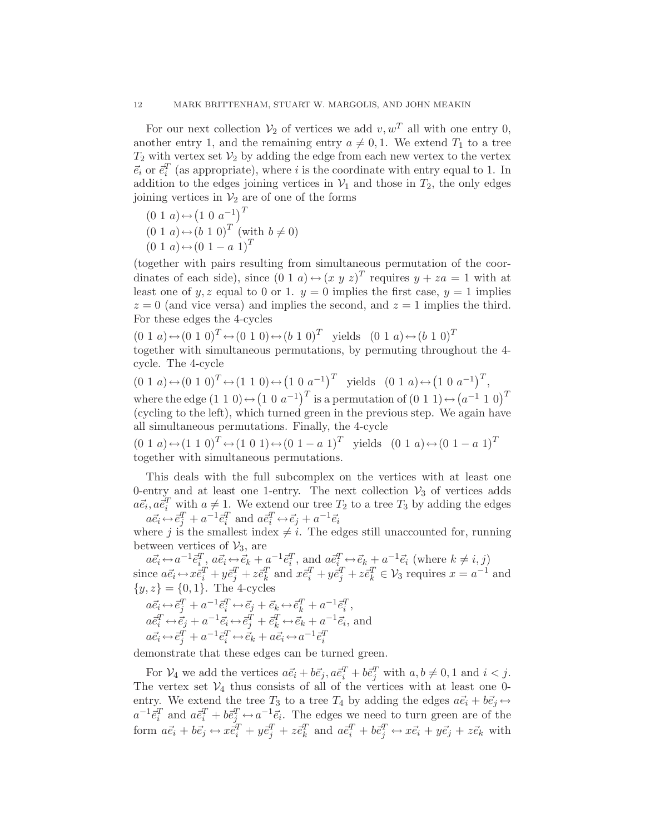For our next collection  $\mathcal{V}_2$  of vertices we add  $v, w^T$  all with one entry 0, another entry 1, and the remaining entry  $a \neq 0, 1$ . We extend  $T_1$  to a tree  $T_2$  with vertex set  $V_2$  by adding the edge from each new vertex to the vertex  $\vec{e}_i$  or  $\vec{e}_i^T$  (as appropriate), where i is the coordinate with entry equal to 1. In addition to the edges joining vertices in  $V_1$  and those in  $T_2$ , the only edges joining vertices in  $\mathcal{V}_2$  are of one of the forms

- $(0\ 1\ a) \leftrightarrow (1\ 0\ a^{-1})^T$
- $(0 1 a) \leftrightarrow (b 1 0)^T$  (with  $b \neq 0$ )
- $(0\ 1\ a) \leftrightarrow (0\ 1\ -\ a\ 1)^T$

(together with pairs resulting from simultaneous permutation of the coordinates of each side), since  $(0 1 a) \leftrightarrow (x y z)^T$  requires  $y + za = 1$  with at least one of y, z equal to 0 or 1.  $y = 0$  implies the first case,  $y = 1$  implies  $z = 0$  (and vice versa) and implies the second, and  $z = 1$  implies the third. For these edges the 4-cycles

 $(0\ 1\ a) \leftrightarrow (0\ 1\ 0)^T \leftrightarrow (0\ 1\ 0) \leftrightarrow (b\ 1\ 0)^T$  yields  $(0\ 1\ a) \leftrightarrow (b\ 1\ 0)^T$ 

together with simultaneous permutations, by permuting throughout the 4 cycle. The 4-cycle

 $(0\ 1\ a) \leftrightarrow (0\ 1\ 0)^T \leftrightarrow (1\ 1\ 0) \leftrightarrow (1\ 0\ a^{-1})^T$  yields  $(0\ 1\ a) \leftrightarrow (1\ 0\ a^{-1})^T$ , where the edge  $(1\ 1\ 0) \leftrightarrow (1\ 0\ a^{-1})^T$  is a permutation of  $(0\ 1\ 1) \leftrightarrow (a^{-1}\ 1\ 0)^T$ (cycling to the left), which turned green in the previous step. We again have all simultaneous permutations. Finally, the 4-cycle

 $(0\ 1\ a) \leftrightarrow (1\ 1\ 0)^T \leftrightarrow (1\ 0\ 1) \leftrightarrow (0\ 1\ -\ a\ 1)^T$  yields  $(0\ 1\ a) \leftrightarrow (0\ 1\ -\ a\ 1)^T$ together with simultaneous permutations.

This deals with the full subcomplex on the vertices with at least one 0-entry and at least one 1-entry. The next collection  $\mathcal{V}_3$  of vertices adds  $a\vec{e}_i, a\vec{e}_i^T$  with  $a \neq 1$ . We extend our tree  $T_2$  to a tree  $T_3$  by adding the edges  $a\vec{e}_i \leftrightarrow \vec{e}_j^T + a^{-1}\vec{e}_i^T$  and  $a\vec{e}_i^T \leftrightarrow \vec{e}_j + a^{-1}\vec{e}_i$ 

where j is the smallest index  $\neq i$ . The edges still unaccounted for, running between vertices of  $\mathcal{V}_3$ , are

 $a\vec{e}_i \leftrightarrow a^{-1}\vec{e}_i^T$ ,  $a\vec{e}_i \leftrightarrow \vec{e}_k + a^{-1}\vec{e}_i^T$ , and  $a\vec{e}_i^T \leftrightarrow \vec{e}_k + a^{-1}\vec{e}_i$  (where  $k \neq i, j$ ) since  $a\vec{e}_i \leftrightarrow \vec{x} \vec{e}_i^T + y\vec{e}_j^T + z\vec{e}_k^T$  and  $x\vec{e}_i^T + y\vec{e}_j^T + z\vec{e}_k^T \in \mathcal{V}_3$  requires  $x = a^{-1}$  and  $\{y, z\} = \{0, 1\}.$  The 4-cycles  $a\vec{e}_i \leftrightarrow \vec{e}_j^T + a^{-1}\vec{e}_i^T \leftrightarrow \vec{e}_j + \vec{e}_k \leftrightarrow \vec{e}_k^T + a^{-1}\vec{e}_i^T,$ 

$$
a\vec{e}_i^T \leftrightarrow \vec{e}_j + a^{-1}\vec{e}_i \leftrightarrow \vec{e}_j^T + \vec{e}_k^T \leftrightarrow \vec{e}_k + a^{-1}\vec{e}_i, \text{ and}
$$
  

$$
a\vec{e}_i \leftrightarrow \vec{e}_j^T + a^{-1}\vec{e}_i^T \leftrightarrow \vec{e}_k + a\vec{e}_i \leftrightarrow a^{-1}\vec{e}_i^T
$$

demonstrate that these edges can be turned green.

For  $V_4$  we add the vertices  $a\vec{e}_i + b\vec{e}_j$ ,  $a\vec{e}_i^T + b\vec{e}_j^T$  with  $a, b \neq 0, 1$  and  $i < j$ . The vertex set  $V_4$  thus consists of all of the vertices with at least one 0entry. We extend the tree  $T_3$  to a tree  $T_4$  by adding the edges  $a\vec{e}_i + b\vec{e}_j \leftrightarrow$  $a^{-1}\vec{e}_i^T$  and  $a\vec{e}_i^T + b\vec{e}_j^T \leftrightarrow a^{-1}\vec{e}_i$ . The edges we need to turn green are of the form  $a\vec{e}_i + b\vec{e}_j \leftrightarrow x\vec{e}_i^T + y\vec{e}_j^T + z\vec{e}_k^T$  and  $a\vec{e}_i^T + b\vec{e}_j^T \leftrightarrow x\vec{e}_i + y\vec{e}_j + z\vec{e}_k$  with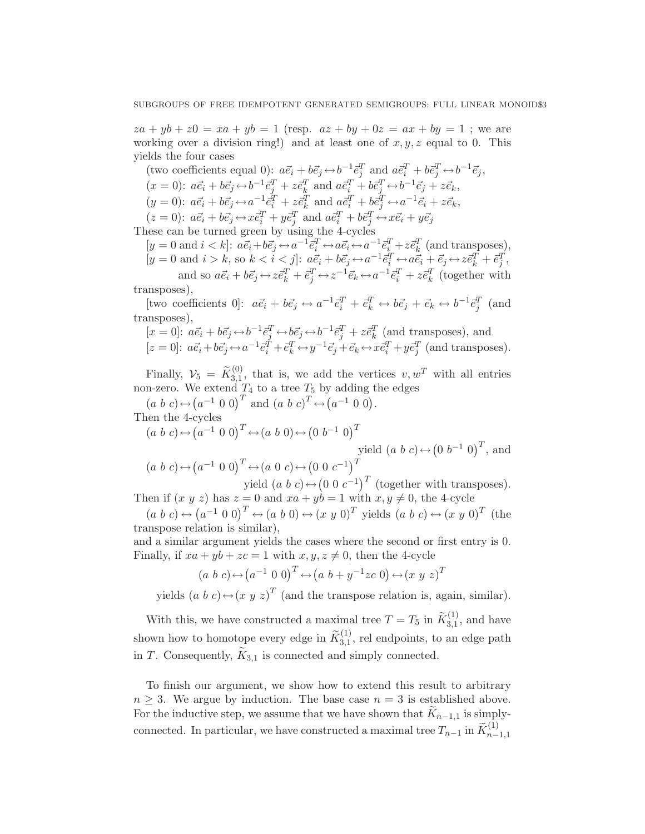$za + yb + z0 = xa + yb = 1$  (resp.  $az + by + 0z = ax + by = 1$ ; we are working over a division ring!) and at least one of  $x, y, z$  equal to 0. This yields the four cases

(two coefficients equal 0):  $a\vec{e}_i + b\vec{e}_j \leftrightarrow b^{-1}\vec{e}_j^T$  and  $a\vec{e}_i^T + b\vec{e}_j^T \leftrightarrow b^{-1}\vec{e}_j$ ,  $(x = 0): a\vec{e}_i + b\vec{e}_j \leftrightarrow b^{-1}\vec{e}_j^T + z\vec{e}_k^T$  and  $a\vec{e}_i^T + b\vec{e}_j^T \leftrightarrow b^{-1}\vec{e}_j + z\vec{e}_k$ ,  $(y = 0)$ :  $a\vec{e}_i + b\vec{e}_j \leftrightarrow a^{-1}\vec{e}_i^T + z\vec{e}_k^T$  and  $a\vec{e}_i^T + b\vec{e}_j^T \leftrightarrow a^{-1}\vec{e}_i + z\vec{e}_k$ ,  $(x = 0): \overrightarrow{ae_i} + \overrightarrow{be_j} \leftrightarrow \overrightarrow{xe_i^T} + \overrightarrow{ye_j^T}$  and  $\overrightarrow{ae_i^T} + \overrightarrow{be_j^T} \leftrightarrow \overrightarrow{xe_i} + \overrightarrow{ye_j^T}$ These can be turned green by using the 4-cycles

 $[y = 0 \text{ and } i < k]$ :  $a\vec{e}_i + b\vec{e}_j \leftrightarrow a^{-1}\vec{e}_i^T \leftrightarrow a\vec{e}_i \leftrightarrow a^{-1}\vec{e}_i^T + z\vec{e}_k^T$  (and transposes),  $[y = 0 \text{ and } i > k, \text{ so } k < i < j$ :  $a\vec{e}_i + b\vec{e}_j \leftrightarrow a^{-1}\vec{e}_i^T \leftrightarrow a\vec{e}_i + \vec{e}_j \leftrightarrow z\vec{e}_k^T + \vec{e}_j^T$ and so  $a\vec{e}_i + b\vec{e}_j \leftrightarrow z\vec{e}_k^T + \vec{e}_j^T \leftrightarrow z^{-1}\vec{e}_k \leftrightarrow a^{-1}\vec{e}_i^T + z\vec{e}_k^T$  (together with

transposes),

[two coefficients 0]:  $a\vec{e}_i + b\vec{e}_j \leftrightarrow a^{-1}\vec{e}_i^T + \vec{e}_k^T \leftrightarrow b\vec{e}_j + \vec{e}_k \leftrightarrow b^{-1}\vec{e}_j^T$  (and transposes),

$$
[x = 0]: \stackrel{\sim}{a\vec{e}_i} + b\vec{e}_j \leftrightarrow b^{-1}\vec{e}_j^T \leftrightarrow b\vec{e}_j \leftrightarrow b^{-1}\vec{e}_j^T + z\vec{e}_k^T \text{ (and transposes), and}
$$
  
\n
$$
[z = 0]: \stackrel{\sim}{a\vec{e}_i} + b\vec{e}_j \leftrightarrow a^{-1}\vec{e}_i^T + \vec{e}_k^T \leftrightarrow y^{-1}\vec{e}_j + \vec{e}_k \leftrightarrow x\vec{e}_i^T + y\vec{e}_j^T \text{ (and transposes).}
$$

Finally,  $V_5 = \widetilde{K}_{3,1}^{(0)}$ , that is, we add the vertices  $v, w^T$  with all entries non-zero. We extend  $T_4$  to a tree  $T_5$  by adding the edges

$$
(a\ b\ c) \leftrightarrow (a^{-1}\ 0\ 0)^T
$$
 and  $(a\ b\ c)^T \leftrightarrow (a^{-1}\ 0\ 0)$ .  
Then the 4-cycles

$$
(a\ b\ c) \leftrightarrow (a^{-1}\ 0\ 0)^T \leftrightarrow (a\ b\ 0) \leftrightarrow (0\ b^{-1}\ 0)^T
$$
  
\nyield  $(a\ b\ c) \leftrightarrow (0^{-1}\ 0)^T$ , and  
\n $(a\ b\ c) \leftrightarrow (a^{-1}\ 0\ 0)^T \leftrightarrow (a\ 0\ c) \leftrightarrow (0\ 0\ c^{-1})^T$ 

yield  $(a\;b\;c) \leftrightarrow (0\;0\;c^{-1})^T$  (together with transposes). Then if  $(x, y, z)$  has  $z = 0$  and  $xa + yb = 1$  with  $x, y \neq 0$ , the 4-cycle

 $(a\;b\;c) \leftrightarrow (a^{-1}\;0\;0)^T \leftrightarrow (a\;b\;0) \leftrightarrow (x\;y\;0)^T$  yields  $(a\;b\;c) \leftrightarrow (x\;y\;0)^T$  (the transpose relation is similar),

and a similar argument yields the cases where the second or first entry is 0. Finally, if  $xa + yb + zc = 1$  with  $x, y, z \neq 0$ , then the 4-cycle

$$
(a\ b\ c) \leftrightarrow (a^{-1}\ 0\ 0)^T \leftrightarrow (a\ b + y^{-1}zc\ 0) \leftrightarrow (x\ y\ z)^T
$$

yields  $(a\ b\ c) \leftrightarrow (x\ y\ z)^T$  (and the transpose relation is, again, similar).

With this, we have constructed a maximal tree  $T = T_5$  in  $\widetilde{K}_{3,1}^{(1)}$ , and have shown how to homotope every edge in  $\widetilde{K}^{(1)}_{3,1}$ , rel endpoints, to an edge path in T. Consequently,  $K_{3,1}$  is connected and simply connected.

To finish our argument, we show how to extend this result to arbitrary  $n \geq 3$ . We argue by induction. The base case  $n = 3$  is established above. For the inductive step, we assume that we have shown that  $K_{n-1,1}$  is simplyconnected. In particular, we have constructed a maximal tree  $T_{n-1}$  in  $\widetilde{K}_{n-1,1}^{(1)}$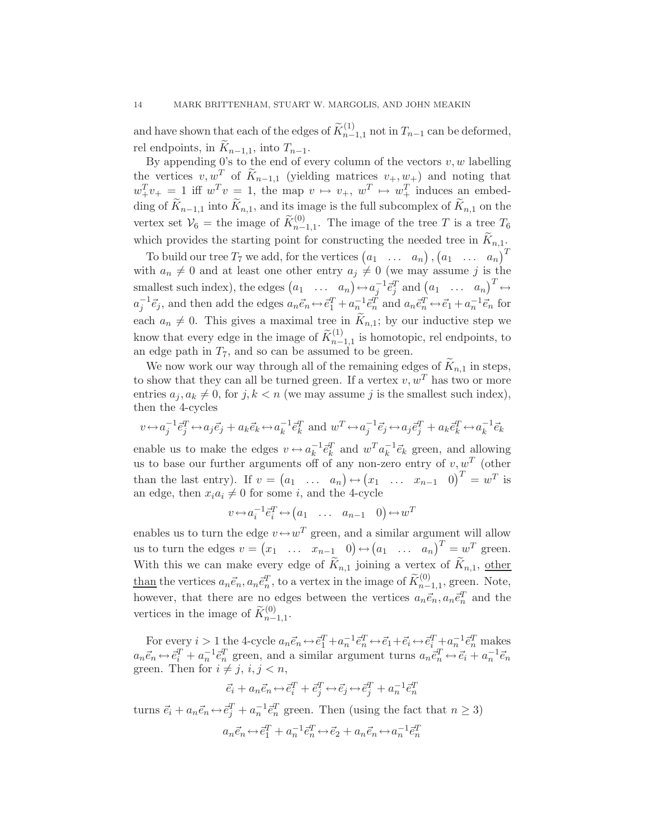and have shown that each of the edges of  $\widetilde{K}_{n-1,1}^{(1)}$  not in  $T_{n-1}$  can be deformed, rel endpoints, in  $\widetilde{K}_{n-1,1}$ , into  $T_{n-1}$ .

By appending 0's to the end of every column of the vectors  $v, w$  labelling the vertices  $v, w^T$  of  $\widetilde{K}_{n-1,1}$  (yielding matrices  $v_+, w_+$ ) and noting that  $w_+^T v_+ = 1$  iff  $w_-^T v = 1$ , the map  $v \mapsto v_+$ ,  $w_-^T \mapsto w_+^T$  induces an embedding of  $\widetilde{K}_{n-1,1}$  into  $\widetilde{K}_{n,1}$ , and its image is the full subcomplex of  $\widetilde{K}_{n,1}$  on the vertex set  $\mathcal{V}_6$  = the image of  $\widetilde{K}_{n-1,1}^{(0)}$ . The image of the tree T is a tree  $T_6$ which provides the starting point for constructing the needed tree in  $\widetilde{K}_{n,1}$ .

To build our tree  $T_7$  we add, for the vertices  $(a_1 \ldots a_n)$ ,  $(a_1 \ldots a_n)^T$ with  $a_n \neq 0$  and at least one other entry  $a_j \neq 0$  (we may assume j is the smallest such index), the edges  $(a_1 \dots a_n) \leftrightarrow a_j^{-1} \vec{e}_j^T$  and  $(a_1 \dots a_n)^T \leftrightarrow a_j^{-1} \vec{e}_j^T$  $a_j^{-1} \vec{e}_j$ , and then add the edges  $a_n \vec{e}_n \leftrightarrow \vec{e}_1^T + a_n^{-1} \vec{e}_n^T$  and  $a_n \vec{e}_n^T \leftrightarrow \vec{e}_1 + a_n^{-1} \vec{e}_n$  for each  $a_n \neq 0$ . This gives a maximal tree in  $K_{n,1}$ ; by our inductive step we know that every edge in the image of  $\widetilde{K}_{n-1,1}^{(1)}$  is homotopic, rel endpoints, to an edge path in  $T_7$ , and so can be assumed to be green.

We now work our way through all of the remaining edges of  $\widetilde{K}_{n,1}$  in steps, to show that they can all be turned green. If a vertex  $v, w^T$  has two or more entries  $a_j, a_k \neq 0$ , for  $j, k < n$  (we may assume j is the smallest such index), then the 4-cycles

$$
v \leftrightarrow a_j^{-1} \vec{e}_j^T \leftrightarrow a_j \vec{e}_j + a_k \vec{e}_k \leftrightarrow a_k^{-1} \vec{e}_k^T \text{ and } w^T \leftrightarrow a_j^{-1} \vec{e}_j \leftrightarrow a_j \vec{e}_j^T + a_k \vec{e}_k^T \leftrightarrow a_k^{-1} \vec{e}_k
$$

enable us to make the edges  $v \leftrightarrow a_k^{-1} \bar{e}_k^T$  and  $w^T a_k^{-1} \bar{e}_k$  green, and allowing us to base our further arguments off of any non-zero entry of  $v, w<sup>T</sup>$  (other than the last entry). If  $v = (a_1 \dots a_n) \leftrightarrow (x_1 \dots x_{n-1} 0)^T = w^T$  is an edge, then  $x_i a_i \neq 0$  for some i, and the 4-cycle

$$
v \leftrightarrow a_i^{-1} \bar{e}_i^T \leftrightarrow (a_1 \quad \dots \quad a_{n-1} \quad 0) \leftrightarrow w^T
$$

enables us to turn the edge  $v \leftrightarrow w^T$  green, and a similar argument will allow us to turn the edges  $v = (x_1 \dots x_{n-1} \ 0) \leftrightarrow (a_1 \dots a_n)^T = w^T$  green. With this we can make every edge of  $\widetilde{K}_{n,1}$  joining a vertex of  $\widetilde{K}_{n,1}$ , other than the vertices  $a_n \vec{e}_n, a_n \vec{e}_n^T$ , to a vertex in the image of  $\widetilde{K}_{n-1,1}^{(0)}$ , green. Note, however, that there are no edges between the vertices  $a_n \vec{e}_n, a_n \vec{e}_n^T$  and the vertices in the image of  $\widetilde{K}_{n-1,1}^{(0)}$ .

For every  $i > 1$  the 4-cycle  $a_n \vec{e}_n \leftrightarrow \vec{e}_1^T + a_n^{-1} \vec{e}_n^T \leftrightarrow \vec{e}_1 + \vec{e}_i \leftrightarrow \vec{e}_i^T + a_n^{-1} \vec{e}_n^T$  makes  $a_n\vec{e}_n \leftrightarrow \vec{e}_i^T + a_n^{-1}\vec{e}_n^T$  green, and a similar argument turns  $a_n\vec{e}_n^T \leftrightarrow \vec{e}_i + a_n^{-1}\vec{e}_n$ green. Then for  $i \neq j$ ,  $i, j < n$ ,

$$
\vec{e_i} + a_n \vec{e}_n \leftrightarrow \vec{e}_i^T + \vec{e}_j^T \leftrightarrow \vec{e}_j \leftrightarrow \vec{e}_j^T + a_n^{-1} \vec{e}_n^T
$$

turns  $\vec{e}_i + a_n \vec{e}_n \leftrightarrow \vec{e}_j^T + a_n^{-1} \vec{e}_n^T$  green. Then (using the fact that  $n \ge 3$ )  $a_n\vec{e}_n \leftrightarrow \vec{e}_1^T + a_n^{-1}\vec{e}_n^T \leftrightarrow \vec{e}_2 + a_n\vec{e}_n \leftrightarrow a_n^{-1}\vec{e}_n^T$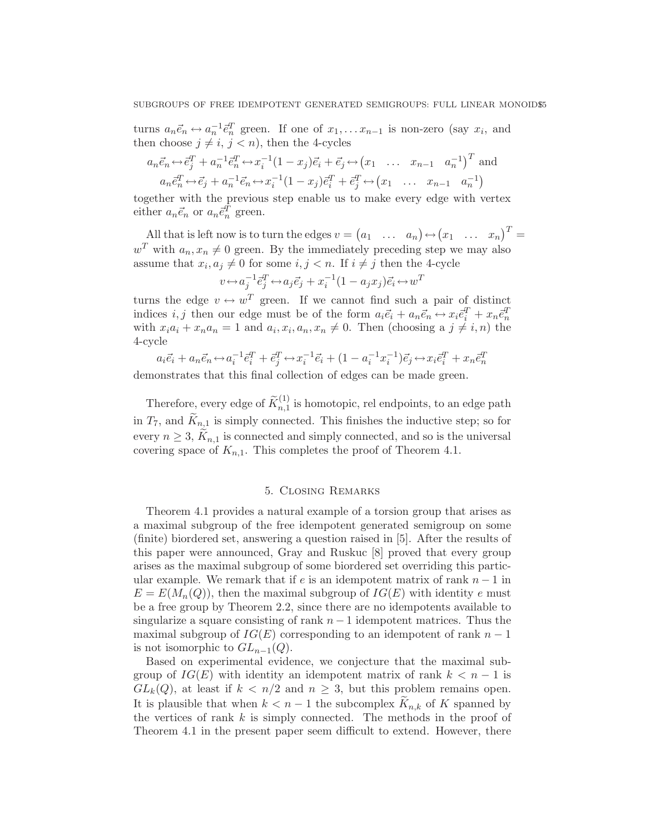turns  $a_n \vec{e}_n \leftrightarrow a_n^{-1} \vec{e}_n^T$  green. If one of  $x_1, \ldots x_{n-1}$  is non-zero (say  $x_i$ , and then choose  $j \neq i, j < n$ , then the 4-cycles

$$
a_n \vec{e}_n \leftrightarrow \vec{e}_j^T + a_n^{-1} \vec{e}_n^T \leftrightarrow x_i^{-1} (1 - x_j) \vec{e}_i + \vec{e}_j \leftrightarrow (x_1 \quad \dots \quad x_{n-1} \quad a_n^{-1})^T \text{ and}
$$
  
\n
$$
a_n \vec{e}_n^T \leftrightarrow \vec{e}_j + a_n^{-1} \vec{e}_n \leftrightarrow x_i^{-1} (1 - x_j) \vec{e}_i^T + \vec{e}_j^T \leftrightarrow (x_1 \quad \dots \quad x_{n-1} \quad a_n^{-1})
$$

together with the previous step enable us to make every edge with vertex either  $a_n \vec{e}_n$  or  $a_n \vec{e}_n^T$  green.

All that is left now is to turn the edges  $v = (a_1 \dots a_n) \leftrightarrow (x_1 \dots x_n)^T =$  $w<sup>T</sup>$  with  $a_n, x_n \neq 0$  green. By the immediately preceding step we may also assume that  $x_i, a_j \neq 0$  for some  $i, j < n$ . If  $i \neq j$  then the 4-cycle

$$
v \leftrightarrow a_j^{-1} \vec{e}_j^T \leftrightarrow a_j \vec{e}_j + x_i^{-1} (1 - a_j x_j) \vec{e}_i \leftrightarrow w^T
$$

turns the edge  $v \leftrightarrow w^T$  green. If we cannot find such a pair of distinct indices  $i, j$  then our edge must be of the form  $a_i \vec{e}_i + a_n \vec{e}_n \leftrightarrow x_i \vec{e}_i^T + x_n \vec{e}_n^T$ with  $x_i a_i + x_n a_n = 1$  and  $a_i, x_i, a_n, x_n \neq 0$ . Then (choosing a  $j \neq i, n$ ) the 4-cycle

$$
a_i \vec{e}_i + a_n \vec{e}_n \leftrightarrow a_i^{-1} \vec{e}_i^T + \vec{e}_j^T \leftrightarrow x_i^{-1} \vec{e}_i + (1 - a_i^{-1} x_i^{-1}) \vec{e}_j \leftrightarrow x_i \vec{e}_i^T + x_n \vec{e}_n^T
$$

demonstrates that this final collection of edges can be made green.

Therefore, every edge of  $\widetilde{K}_{n,1}^{(1)}$  is homotopic, rel endpoints, to an edge path in  $T_7$ , and  $K_{n,1}$  is simply connected. This finishes the inductive step; so for every  $n \geq 3$ ,  $K_{n,1}$  is connected and simply connected, and so is the universal covering space of  $K_{n,1}$ . This completes the proof of Theorem 4.1.

### 5. Closing Remarks

Theorem 4.1 provides a natural example of a torsion group that arises as a maximal subgroup of the free idempotent generated semigroup on some (finite) biordered set, answering a question raised in [5]. After the results of this paper were announced, Gray and Ruskuc [8] proved that every group arises as the maximal subgroup of some biordered set overriding this particular example. We remark that if e is an idempotent matrix of rank  $n-1$  in  $E = E(M_n(Q))$ , then the maximal subgroup of  $IG(E)$  with identity e must be a free group by Theorem 2.2, since there are no idempotents available to singularize a square consisting of rank  $n - 1$  idempotent matrices. Thus the maximal subgroup of  $IG(E)$  corresponding to an idempotent of rank  $n-1$ is not isomorphic to  $GL_{n-1}(Q)$ .

Based on experimental evidence, we conjecture that the maximal subgroup of  $IG(E)$  with identity an idempotent matrix of rank  $k < n-1$  is  $GL_k(Q)$ , at least if  $k < n/2$  and  $n \geq 3$ , but this problem remains open. It is plausible that when  $k < n - 1$  the subcomplex  $K_{n,k}$  of K spanned by the vertices of rank  $k$  is simply connected. The methods in the proof of Theorem 4.1 in the present paper seem difficult to extend. However, there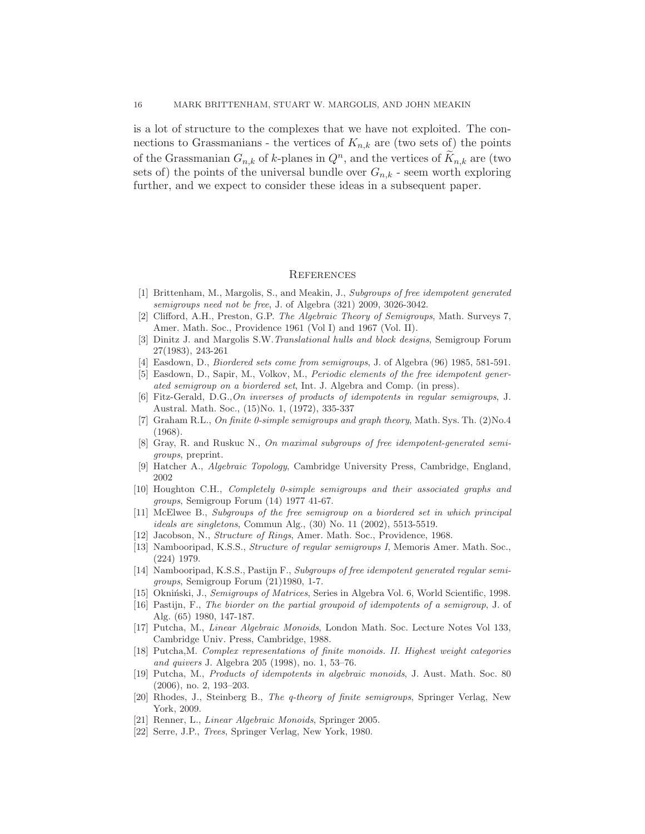is a lot of structure to the complexes that we have not exploited. The connections to Grassmanians - the vertices of  $K_{n,k}$  are (two sets of) the points of the Grassmanian  $G_{n,k}$  of k-planes in  $Q^n$ , and the vertices of  $\widetilde{K}_{n,k}$  are (two sets of) the points of the universal bundle over  $G_{n,k}$  - seem worth exploring further, and we expect to consider these ideas in a subsequent paper.

#### **REFERENCES**

- [1] Brittenham, M., Margolis, S., and Meakin, J., Subgroups of free idempotent generated semigroups need not be free, J. of Algebra (321) 2009, 3026-3042.
- [2] Clifford, A.H., Preston, G.P. The Algebraic Theory of Semigroups, Math. Surveys 7, Amer. Math. Soc., Providence 1961 (Vol I) and 1967 (Vol. II).
- [3] Dinitz J. and Margolis S.W.Translational hulls and block designs, Semigroup Forum 27(1983), 243-261
- [4] Easdown, D., Biordered sets come from semigroups, J. of Algebra (96) 1985, 581-591.
- [5] Easdown, D., Sapir, M., Volkov, M., Periodic elements of the free idempotent generated semigroup on a biordered set, Int. J. Algebra and Comp. (in press).
- [6] Fitz-Gerald, D.G.,On inverses of products of idempotents in regular semigroups, J. Austral. Math. Soc., (15)No. 1, (1972), 335-337
- [7] Graham R.L., On finite 0-simple semigroups and graph theory, Math. Sys. Th. (2)No.4 (1968).
- [8] Gray, R. and Ruskuc N., On maximal subgroups of free idempotent-generated semigroups, preprint.
- [9] Hatcher A., Algebraic Topology, Cambridge University Press, Cambridge, England, 2002
- [10] Houghton C.H., Completely 0-simple semigroups and their associated graphs and groups, Semigroup Forum (14) 1977 41-67.
- [11] McElwee B., Subgroups of the free semigroup on a biordered set in which principal ideals are singletons, Commun Alg., (30) No. 11 (2002), 5513-5519.
- [12] Jacobson, N., Structure of Rings, Amer. Math. Soc., Providence, 1968.
- [13] Nambooripad, K.S.S., Structure of regular semigroups I, Memoris Amer. Math. Soc., (224) 1979.
- [14] Nambooripad, K.S.S., Pastijn F., Subgroups of free idempotent generated regular semigroups, Semigroup Forum (21)1980, 1-7.
- [15] Okniński, J., Semigroups of Matrices, Series in Algebra Vol. 6, World Scientific, 1998.
- [16] Pastijn, F., The biorder on the partial groupoid of idempotents of a semigroup, J. of Alg. (65) 1980, 147-187.
- [17] Putcha, M., Linear Algebraic Monoids, London Math. Soc. Lecture Notes Vol 133, Cambridge Univ. Press, Cambridge, 1988.
- [18] Putcha,M. Complex representations of finite monoids. II. Highest weight categories and quivers J. Algebra 205 (1998), no. 1, 53–76.
- [19] Putcha, M., Products of idempotents in algebraic monoids, J. Aust. Math. Soc. 80 (2006), no. 2, 193–203.
- [20] Rhodes, J., Steinberg B., The q-theory of finite semigroups, Springer Verlag, New York, 2009.
- [21] Renner, L., Linear Algebraic Monoids, Springer 2005.
- [22] Serre, J.P., Trees, Springer Verlag, New York, 1980.